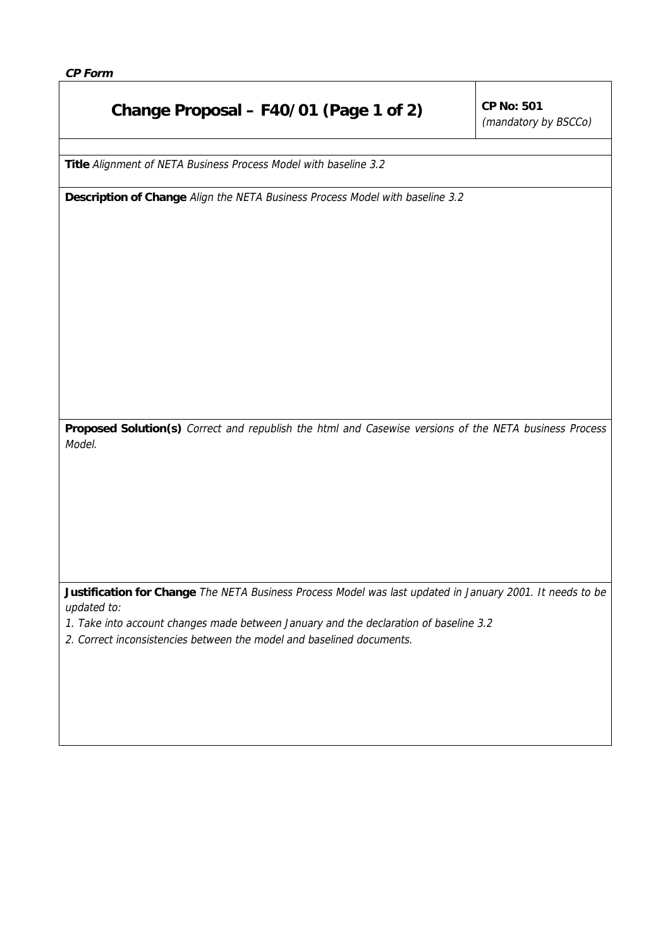## **Change Proposal – F40/01 (Page 1 of 2)**  $\int^{CP}$  No: 501

(mandatory by BSCCo)

**Title** Alignment of NETA Business Process Model with baseline 3.2

**Description of Change** Align the NETA Business Process Model with baseline 3.2

**Proposed Solution(s)** Correct and republish the html and Casewise versions of the NETA business Process Model.

**Justification for Change** The NETA Business Process Model was last updated in January 2001. It needs to be updated to:

- 1. Take into account changes made between January and the declaration of baseline 3.2
- 2. Correct inconsistencies between the model and baselined documents.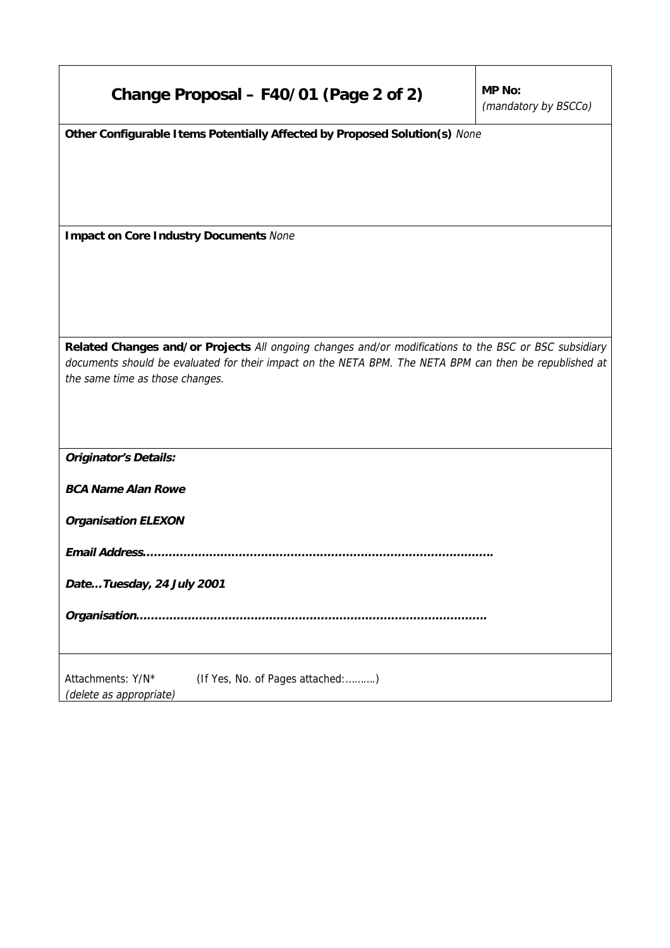| Change Proposal - F40/01 (Page 2 of 2)                                                                                                                                                                                                              | MP No:<br>(mandatory by BSCCo) |
|-----------------------------------------------------------------------------------------------------------------------------------------------------------------------------------------------------------------------------------------------------|--------------------------------|
| Other Configurable I tems Potentially Affected by Proposed Solution(s) None                                                                                                                                                                         |                                |
| <b>Impact on Core Industry Documents None</b>                                                                                                                                                                                                       |                                |
|                                                                                                                                                                                                                                                     |                                |
| Related Changes and/or Projects All ongoing changes and/or modifications to the BSC or BSC subsidiary<br>documents should be evaluated for their impact on the NETA BPM. The NETA BPM can then be republished at<br>the same time as those changes. |                                |
| <b>Originator's Details:</b>                                                                                                                                                                                                                        |                                |
| <b>BCA Name Alan Rowe</b>                                                                                                                                                                                                                           |                                |
| <b>Organisation ELEXON</b>                                                                                                                                                                                                                          |                                |
| Email Address                                                                                                                                                                                                                                       |                                |
| DateTuesday, 24 July 2001                                                                                                                                                                                                                           |                                |
|                                                                                                                                                                                                                                                     |                                |
| Attachments: Y/N*<br>(If Yes, No. of Pages attached:)<br>(delete as appropriate)                                                                                                                                                                    |                                |